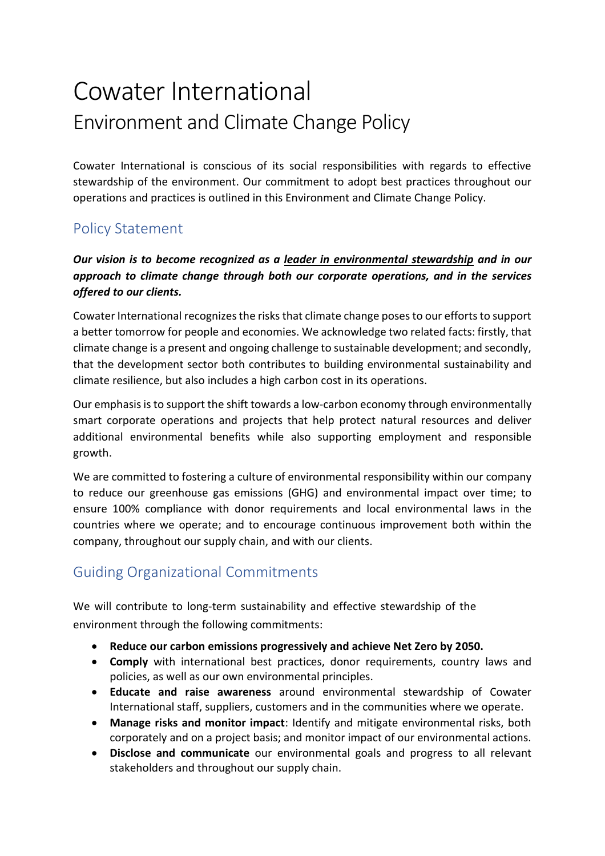# Cowater International Environment and Climate Change Policy

Cowater International is conscious of its social responsibilities with regards to effective stewardship of the environment. Our commitment to adopt best practices throughout our operations and practices is outlined in this Environment and Climate Change Policy.

### Policy Statement

#### *Our vision is to become recognized as a leader in environmental stewardship and in our approach to climate change through both our corporate operations, and in the services offered to our clients.*

Cowater International recognizes the risks that climate change poses to our efforts to support a better tomorrow for people and economies. We acknowledge two related facts: firstly, that climate change is a present and ongoing challenge to sustainable development; and secondly, that the development sector both contributes to building environmental sustainability and climate resilience, but also includes a high carbon cost in its operations.

Our emphasis is to support the shift towards a low-carbon economy through environmentally smart corporate operations and projects that help protect natural resources and deliver additional environmental benefits while also supporting employment and responsible growth.

We are committed to fostering a culture of environmental responsibility within our company to reduce our greenhouse gas emissions (GHG) and environmental impact over time; to ensure 100% compliance with donor requirements and local environmental laws in the countries where we operate; and to encourage continuous improvement both within the company, throughout our supply chain, and with our clients.

## Guiding Organizational Commitments

We will contribute to long-term sustainability and effective stewardship of the environment through the following commitments:

- **Reduce our carbon emissions progressively and achieve Net Zero by 2050.**
- **Comply** with international best practices, donor requirements, country laws and policies, as well as our own environmental principles.
- **Educate and raise awareness** around environmental stewardship of Cowater International staff, suppliers, customers and in the communities where we operate.
- **Manage risks and monitor impact**: Identify and mitigate environmental risks, both corporately and on a project basis; and monitor impact of our environmental actions.
- **Disclose and communicate** our environmental goals and progress to all relevant stakeholders and throughout our supply chain.